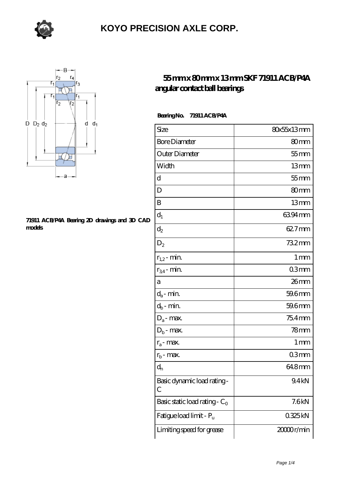



#### **[71911 ACB/P4A Bearing 2D drawings and 3D CAD](https://m.sazsc.com/pic-169482.html) [models](https://m.sazsc.com/pic-169482.html)**

#### **[55 mm x 80 mm x 13 mm SKF 71911 ACB/P4A](https://m.sazsc.com/az-169482-skf-71911-acb-p4a-angular-contact-ball-bearings.html) [angular contact ball bearings](https://m.sazsc.com/az-169482-skf-71911-acb-p4a-angular-contact-ball-bearings.html)**

 **Bearing No. 71911 ACB/P4A**

| Size                             | 80x55x13mm            |
|----------------------------------|-----------------------|
| <b>Bore Diameter</b>             | 80 <sub>mm</sub>      |
| Outer Diameter                   | $55$ mm               |
| Width                            | 13mm                  |
| d                                | $55$ mm               |
| D                                | 80 <sub>mm</sub>      |
| B                                | 13mm                  |
| $d_1$                            | 6394mm                |
| $d_2$                            | 62.7mm                |
| $\mathrm{D}_2$                   | 732mm                 |
| $r_{1,2}$ - min.                 | 1 <sub>mm</sub>       |
| $r_{34}$ - min.                  | 03mm                  |
| а                                | 26mm                  |
| $d_a$ - min.                     | 59.6mm                |
| $d_b$ - min.                     | 59.6mm                |
| $D_a$ - max.                     | $754$ mm              |
| $D_b$ - max.                     | 78 <sub>mm</sub>      |
| $r_a$ - max.                     | 1 mm                  |
| $r_{b}$ - max.                   | 03mm                  |
| $\mathrm{d}_{\mathrm{n}}$        | 64.8mm                |
| Basic dynamic load rating-<br>С  | 9.4kN                 |
| Basic static load rating - $C_0$ | 7.6kN                 |
| Fatigue load limit - Pu          | 0325kN                |
| Limiting speed for grease        | 2000 <sub>r/min</sub> |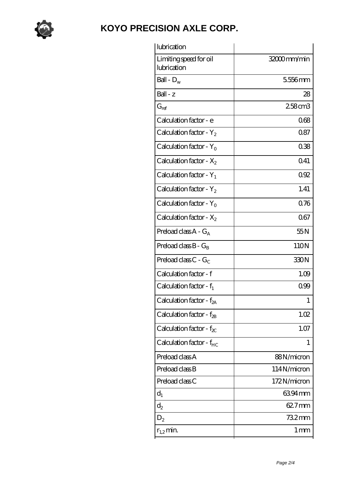

| lubrication                            |             |
|----------------------------------------|-------------|
| Limiting speed for oil<br>lubrication  | 32000mm/min |
| Ball - $D_w$                           | 556mm       |
| Ball - z                               | 28          |
| $G_{ref}$                              | 258cm3      |
| Calculation factor - e                 | 068         |
| Calculation factor - $Y_2$             | 0.87        |
| Calculation factor - $Y_0$             | 038         |
| Calculation factor - $X_2$             | Q41         |
| Calculation factor - $Y_1$             | 092         |
| Calculation factor - $Y_2$             | 1.41        |
| Calculation factor - $Y_0$             | 0.76        |
| Calculation factor - $X_2$             | 067         |
| Preload class $A - G_A$                | 55N         |
| Preload class $B - G_B$                | 110N        |
| Preload class $C - G_C$                | 330N        |
| Calculation factor - f                 | 1.09        |
| Calculation factor - $f_1$             | 099         |
| Calculation factor - f <sub>2A</sub>   | 1           |
| Calculation factor - $f_{\mathcal{B}}$ | 1.02        |
| Calculation factor - $f_{\chi}$        | 1.07        |
| Calculation factor - $f_{HC}$          | 1           |
| Preload class A                        | 88N/micron  |
| Preload class B                        | 114N/micron |
| Preload class C                        | 172N/micron |
| $d_1$                                  | 6394mm      |
| $d_2$                                  | 62.7mm      |
| $D_2$                                  | 732mm       |
| $r_{1,2}$ min.                         | 1 mm        |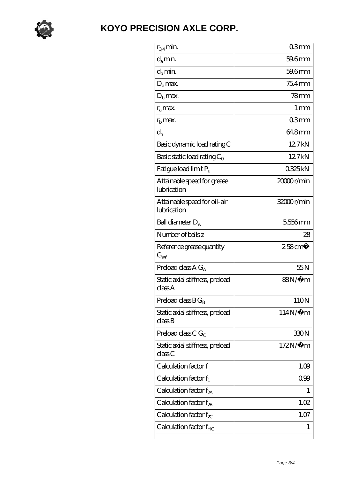

| $r_{34}$ min.                               | 03mm                  |
|---------------------------------------------|-----------------------|
| $d_a$ min.                                  | 59.6mm                |
| $d_b$ min.                                  | 59.6mm                |
| $D_a$ max.                                  | $754$ mm              |
| $Db$ max.                                   | $78$ mm               |
| $r_{a}$ max.                                | $1 \,\mathrm{mm}$     |
| $rb$ max.                                   | 03mm                  |
| $d_{n}$                                     | 64.8mm                |
| Basic dynamic load rating C                 | 127kN                 |
| Basic static load rating $C_0$              | 12.7kN                |
| Fatigue load limit Pu                       | 0325kN                |
| Attainable speed for grease<br>lubrication  | 2000r/min             |
| Attainable speed for oil-air<br>lubrication | 32000r/min            |
| Ball diameter $D_w$                         | 5556mm                |
| Number of balls z                           | 28                    |
| Reference grease quantity<br>$G_{ref}$      | $258$ cm <sup>3</sup> |
| Preload class $A G_A$                       | 55N                   |
| Static axial stiffness, preload<br>classA   | 88N∕µ m               |
| Preload class $BG_B$                        | 110N                  |
| Static axial stiffness, preload<br>classB   | $114N/\mu$ m          |
| Preload class C $G_C$                       | 330N                  |
| Static axial stiffness, preload<br>classC   | $172N/\mu$ m          |
| Calculation factor f                        | 1.09                  |
| Calculation factor $f_1$                    | 099                   |
| Calculation factor $f_{2A}$                 | 1                     |
|                                             |                       |
| Calculation factor $f_{\rm 2B}$             | 1.02                  |
| Calculation factor $f_{\chi}$               | 1.07                  |
| Calculation factor $f_{HC}$                 | 1                     |